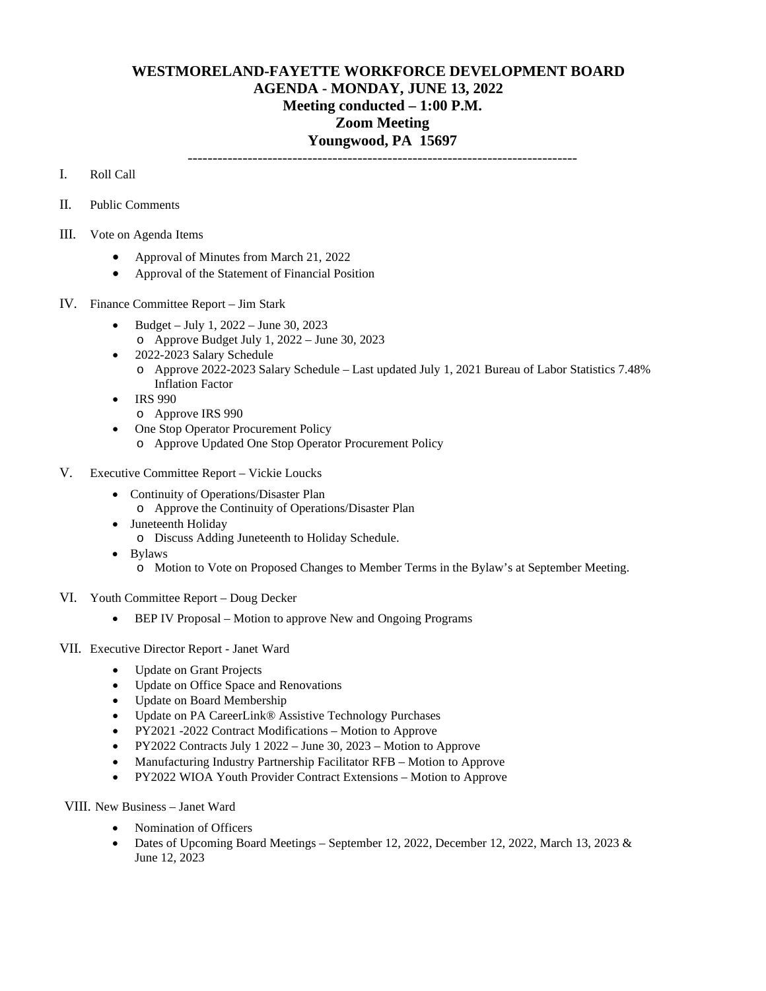## **WESTMORELAND-FAYETTE WORKFORCE DEVELOPMENT BOARD AGENDA - MONDAY, JUNE 13, 2022 Meeting conducted – 1:00 P.M. Zoom Meeting Youngwood, PA 15697** ------------------------------------------------------------------------------

I. Roll Call

- II. Public Comments
- III. Vote on Agenda Items
	- Approval of Minutes from March 21, 2022
	- Approval of the Statement of Financial Position
- IV. Finance Committee Report Jim Stark
	- Budget July 1, 2022 June 30, 2023 o Approve Budget July 1, 2022 – June 30, 2023
	- 2022-2023 Salary Schedule o Approve 2022-2023 Salary Schedule – Last updated July 1, 2021 Bureau of Labor Statistics 7.48% Inflation Factor
	- IRS 990
		- o Approve IRS 990
	- One Stop Operator Procurement Policy
		- o Approve Updated One Stop Operator Procurement Policy
- V. Executive Committee Report Vickie Loucks
	- Continuity of Operations/Disaster Plan o Approve the Continuity of Operations/Disaster Plan
	-
	- Juneteenth Holiday
		- o Discuss Adding Juneteenth to Holiday Schedule.
	- Bylaws
		- o Motion to Vote on Proposed Changes to Member Terms in the Bylaw's at September Meeting.
- VI. Youth Committee Report Doug Decker
	- BEP IV Proposal Motion to approve New and Ongoing Programs
- VII. Executive Director Report Janet Ward
	- Update on Grant Projects
	- Update on Office Space and Renovations
	- Update on Board Membership
	- Update on PA CareerLink® Assistive Technology Purchases
	- PY2021 -2022 Contract Modifications Motion to Approve
	- PY2022 Contracts July 1 2022 June 30, 2023 Motion to Approve
	- Manufacturing Industry Partnership Facilitator RFB Motion to Approve
	- PY2022 WIOA Youth Provider Contract Extensions Motion to Approve

VIII. New Business – Janet Ward

- Nomination of Officers
- Dates of Upcoming Board Meetings September 12, 2022, December 12, 2022, March 13, 2023 & June 12, 2023